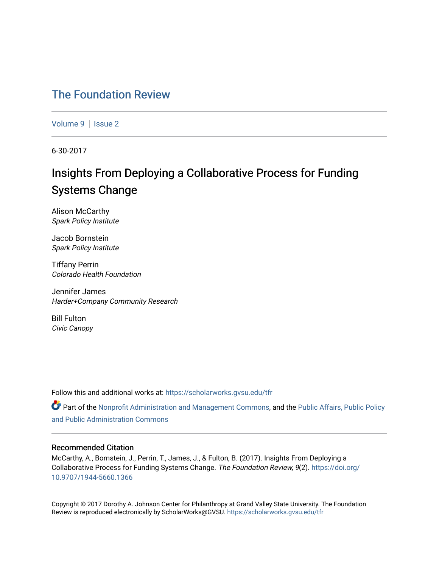# [The Foundation Review](https://scholarworks.gvsu.edu/tfr)

[Volume 9](https://scholarworks.gvsu.edu/tfr/vol9) | Issue 2

6-30-2017

# Insights From Deploying a Collaborative Process for Funding Systems Change

Alison McCarthy Spark Policy Institute

Jacob Bornstein Spark Policy Institute

Tiffany Perrin Colorado Health Foundation

Jennifer James Harder+Company Community Research

Bill Fulton Civic Canopy

Follow this and additional works at: [https://scholarworks.gvsu.edu/tfr](https://scholarworks.gvsu.edu/tfr?utm_source=scholarworks.gvsu.edu%2Ftfr%2Fvol9%2Fiss2%2F9&utm_medium=PDF&utm_campaign=PDFCoverPages)

**C** Part of the [Nonprofit Administration and Management Commons,](http://network.bepress.com/hgg/discipline/1228?utm_source=scholarworks.gvsu.edu%2Ftfr%2Fvol9%2Fiss2%2F9&utm_medium=PDF&utm_campaign=PDFCoverPages) and the Public Affairs, Public Policy [and Public Administration Commons](http://network.bepress.com/hgg/discipline/393?utm_source=scholarworks.gvsu.edu%2Ftfr%2Fvol9%2Fiss2%2F9&utm_medium=PDF&utm_campaign=PDFCoverPages) 

# Recommended Citation

McCarthy, A., Bornstein, J., Perrin, T., James, J., & Fulton, B. (2017). Insights From Deploying a Collaborative Process for Funding Systems Change. The Foundation Review, 9(2). [https://doi.org/](https://doi.org/10.9707/1944-5660.1366) [10.9707/1944-5660.1366](https://doi.org/10.9707/1944-5660.1366)

Copyright © 2017 Dorothy A. Johnson Center for Philanthropy at Grand Valley State University. The Foundation Review is reproduced electronically by ScholarWorks@GVSU.<https://scholarworks.gvsu.edu/tfr>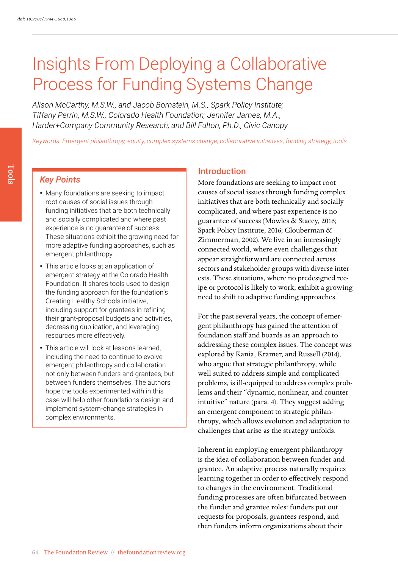# Insights From Deploying a Collaborative Process for Funding Systems Change

*Alison McCarthy, M.S.W., and Jacob Bornstein, M.S., Spark Policy Institute; Tiffany Perrin, M.S.W., Colorado Health Foundation; Jennifer James, M.A., Harder+Company Community Research; and Bill Fulton, Ph.D., Civic Canopy*

*Keywords: Emergent philanthropy, equity, complex systems change, collaborative initiatives, funding strategy, tools*

# *Key Points*

- Many foundations are seeking to impact root causes of social issues through funding initiatives that are both technically and socially complicated and where past experience is no guarantee of success. These situations exhibit the growing need for more adaptive funding approaches, such as emergent philanthropy.
- This article looks at an application of emergent strategy at the Colorado Health Foundation. It shares tools used to design the funding approach for the foundation's Creating Healthy Schools initiative, including support for grantees in refining their grant-proposal budgets and activities, decreasing duplication, and leveraging resources more effectively.
- This article will look at lessons learned, including the need to continue to evolve emergent philanthropy and collaboration not only between funders and grantees, but between funders themselves. The authors hope the tools experimented with in this case will help other foundations design and implement system-change strategies in complex environments.

# Introduction

More foundations are seeking to impact root causes of social issues through funding complex initiatives that are both technically and socially complicated, and where past experience is no guarantee of success (Mowles & Stacey, 2016; Spark Policy Institute, 2016; Glouberman & Zimmerman, 2002). We live in an increasingly connected world, where even challenges that appear straightforward are connected across sectors and stakeholder groups with diverse interests. These situations, where no predesigned recipe or protocol is likely to work, exhibit a growing need to shift to adaptive funding approaches.

For the past several years, the concept of emergent philanthropy has gained the attention of foundation staff and boards as an approach to addressing these complex issues. The concept was explored by Kania, Kramer, and Russell (2014), who argue that strategic philanthropy, while well-suited to address simple and complicated problems, is ill-equipped to address complex problems and their "dynamic, nonlinear, and counterintuitive" nature (para. 4). They suggest adding an emergent component to strategic philanthropy, which allows evolution and adaptation to challenges that arise as the strategy unfolds.

Inherent in employing emergent philanthropy is the idea of collaboration between funder and grantee. An adaptive process naturally requires learning together in order to effectively respond to changes in the environment. Traditional funding processes are often bifurcated between the funder and grantee roles: funders put out requests for proposals, grantees respond, and then funders inform organizations about their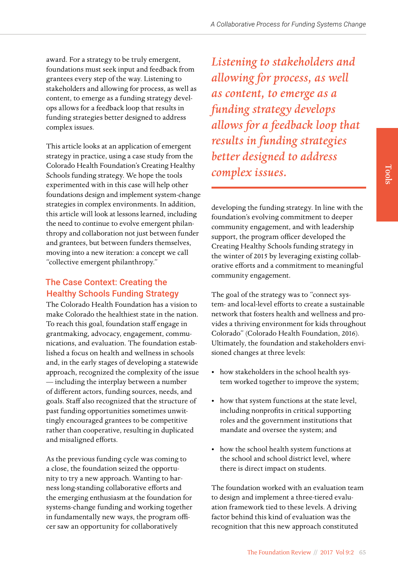award. For a strategy to be truly emergent, foundations must seek input and feedback from grantees every step of the way. Listening to stakeholders and allowing for process, as well as content, to emerge as a funding strategy develops allows for a feedback loop that results in funding strategies better designed to address complex issues.

This article looks at an application of emergent strategy in practice, using a case study from the Colorado Health Foundation's Creating Healthy Schools funding strategy. We hope the tools experimented with in this case will help other foundations design and implement system-change strategies in complex environments. In addition, this article will look at lessons learned, including the need to continue to evolve emergent philanthropy and collaboration not just between funder and grantees, but between funders themselves, moving into a new iteration: a concept we call "collective emergent philanthropy."

# The Case Context: Creating the Healthy Schools Funding Strategy

The Colorado Health Foundation has a vision to make Colorado the healthiest state in the nation. To reach this goal, foundation staff engage in grantmaking, advocacy, engagement, communications, and evaluation. The foundation established a focus on health and wellness in schools and, in the early stages of developing a statewide approach, recognized the complexity of the issue — including the interplay between a number of different actors, funding sources, needs, and goals. Staff also recognized that the structure of past funding opportunities sometimes unwittingly encouraged grantees to be competitive rather than cooperative, resulting in duplicated and misaligned efforts.

As the previous funding cycle was coming to a close, the foundation seized the opportunity to try a new approach. Wanting to harness long-standing collaborative efforts and the emerging enthusiasm at the foundation for systems-change funding and working together in fundamentally new ways, the program officer saw an opportunity for collaboratively

*Listening to stakeholders and allowing for process, as well as content, to emerge as a funding strategy develops allows for a feedback loop that results in funding strategies better designed to address complex issues.*

developing the funding strategy. In line with the foundation's evolving commitment to deeper community engagement, and with leadership support, the program officer developed the Creating Healthy Schools funding strategy in the winter of 2015 by leveraging existing collaborative efforts and a commitment to meaningful community engagement.

The goal of the strategy was to "connect system- and local-level efforts to create a sustainable network that fosters health and wellness and provides a thriving environment for kids throughout Colorado" (Colorado Health Foundation, 2016). Ultimately, the foundation and stakeholders envisioned changes at three levels:

- how stakeholders in the school health system worked together to improve the system;
- how that system functions at the state level, including nonprofits in critical supporting roles and the government institutions that mandate and oversee the system; and
- how the school health system functions at the school and school district level, where there is direct impact on students.

The foundation worked with an evaluation team to design and implement a three-tiered evaluation framework tied to these levels. A driving factor behind this kind of evaluation was the recognition that this new approach constituted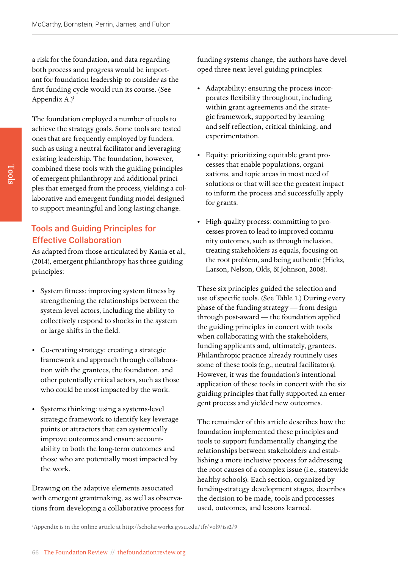a risk for the foundation, and data regarding both process and progress would be important for foundation leadership to consider as the first funding cycle would run its course. (See Appendix  $A$ .)<sup>1</sup>

The foundation employed a number of tools to achieve the strategy goals. Some tools are tested ones that are frequently employed by funders, such as using a neutral facilitator and leveraging existing leadership. The foundation, however, combined these tools with the guiding principles of emergent philanthropy and additional principles that emerged from the process, yielding a collaborative and emergent funding model designed to support meaningful and long-lasting change.

# Tools and Guiding Principles for Effective Collaboration

As adapted from those articulated by Kania et al., (2014), emergent philanthropy has three guiding principles:

- System fitness: improving system fitness by strengthening the relationships between the system-level actors, including the ability to collectively respond to shocks in the system or large shifts in the field.
- Co-creating strategy: creating a strategic framework and approach through collaboration with the grantees, the foundation, and other potentially critical actors, such as those who could be most impacted by the work.
- Systems thinking: using a systems-level strategic framework to identify key leverage points or attractors that can systemically improve outcomes and ensure accountability to both the long-term outcomes and those who are potentially most impacted by the work.

Drawing on the adaptive elements associated with emergent grantmaking, as well as observations from developing a collaborative process for funding systems change, the authors have developed three next-level guiding principles:

- Adaptability: ensuring the process incorporates flexibility throughout, including within grant agreements and the strategic framework, supported by learning and self-reflection, critical thinking, and experimentation.
- Equity: prioritizing equitable grant processes that enable populations, organizations, and topic areas in most need of solutions or that will see the greatest impact to inform the process and successfully apply for grants.
- High-quality process: committing to processes proven to lead to improved community outcomes, such as through inclusion, treating stakeholders as equals, focusing on the root problem, and being authentic (Hicks, Larson, Nelson, Olds, & Johnson, 2008).

These six principles guided the selection and use of specific tools. (See Table 1.) During every phase of the funding strategy — from design through post-award — the foundation applied the guiding principles in concert with tools when collaborating with the stakeholders, funding applicants and, ultimately, grantees. Philanthropic practice already routinely uses some of these tools (e.g., neutral facilitators). However, it was the foundation's intentional application of these tools in concert with the six guiding principles that fully supported an emergent process and yielded new outcomes.

The remainder of this article describes how the foundation implemented these principles and tools to support fundamentally changing the relationships between stakeholders and establishing a more inclusive process for addressing the root causes of a complex issue (i.e., statewide healthy schools). Each section, organized by funding-strategy development stages, describes the decision to be made, tools and processes used, outcomes, and lessons learned.

1 Appendix is in the online article at <http://scholarworks.gvsu.edu/tfr/vol9/iss2/9>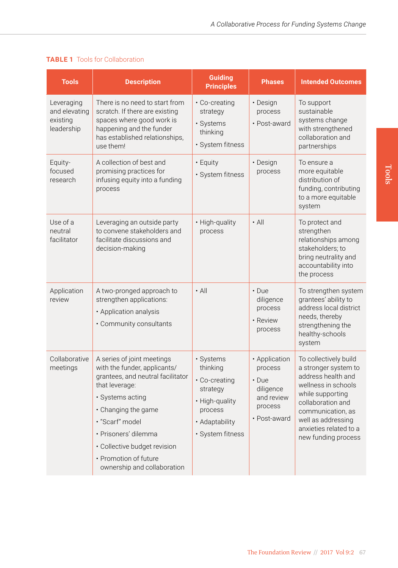| <b>Tools</b>                                          | <b>Description</b>                                                                                                                                                                                                                                                                              | <b>Guiding</b><br><b>Principles</b>                                                                                   | <b>Phases</b>                                                                                 | <b>Intended Outcomes</b>                                                                                                                                                                                                        |
|-------------------------------------------------------|-------------------------------------------------------------------------------------------------------------------------------------------------------------------------------------------------------------------------------------------------------------------------------------------------|-----------------------------------------------------------------------------------------------------------------------|-----------------------------------------------------------------------------------------------|---------------------------------------------------------------------------------------------------------------------------------------------------------------------------------------------------------------------------------|
| Leveraging<br>and elevating<br>existing<br>leadership | There is no need to start from<br>scratch. If there are existing<br>spaces where good work is<br>happening and the funder<br>has established relationships.<br>use them!                                                                                                                        | • Co-creating<br>strategy<br>· Systems<br>thinking<br>· System fitness                                                | • Design<br>process<br>• Post-award                                                           | To support<br>sustainable<br>systems change<br>with strengthened<br>collaboration and<br>partnerships                                                                                                                           |
| Equity-<br>focused<br>research                        | A collection of best and<br>promising practices for<br>infusing equity into a funding<br>process                                                                                                                                                                                                | • Equity<br>· System fitness                                                                                          | • Design<br>process                                                                           | To ensure a<br>more equitable<br>distribution of<br>funding, contributing<br>to a more equitable<br>system                                                                                                                      |
| Use of a<br>neutral<br>facilitator                    | Leveraging an outside party<br>to convene stakeholders and<br>facilitate discussions and<br>decision-making                                                                                                                                                                                     | · High-quality<br>process                                                                                             | $\cdot$ All                                                                                   | To protect and<br>strengthen<br>relationships among<br>stakeholders; to<br>bring neutrality and<br>accountability into<br>the process                                                                                           |
| Application<br>review                                 | A two-pronged approach to<br>strengthen applications:<br>• Application analysis<br>• Community consultants                                                                                                                                                                                      | $\cdot$ All                                                                                                           | $\cdot$ Due<br>diligence<br>process<br>• Review<br>process                                    | To strengthen system<br>grantees' ability to<br>address local district<br>needs, thereby<br>strengthening the<br>healthy-schools<br>system                                                                                      |
| Collaborative<br>meetings                             | A series of joint meetings<br>with the funder, applicants/<br>grantees, and neutral facilitator<br>that leverage:<br>· Systems acting<br>• Changing the game<br>· "Scarf" model<br>· Prisoners' dilemma<br>· Collective budget revision<br>• Promotion of future<br>ownership and collaboration | · Systems<br>thinking<br>• Co-creating<br>strategy<br>· High-quality<br>process<br>· Adaptability<br>· System fitness | • Application<br>process<br>$\cdot$ Due<br>diligence<br>and review<br>process<br>• Post-award | To collectively build<br>a stronger system to<br>address health and<br>wellness in schools<br>while supporting<br>collaboration and<br>communication, as<br>well as addressing<br>anxieties related to a<br>new funding process |

# **TABLE 1** Tools for Collaboration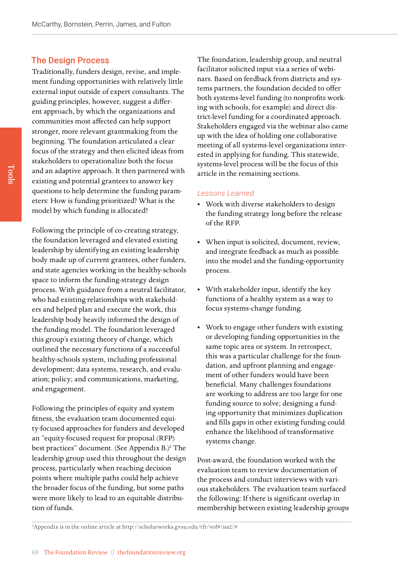# The Design Process

Traditionally, funders design, revise, and implement funding opportunities with relatively little external input outside of expert consultants. The guiding principles, however, suggest a different approach, by which the organizations and communities most affected can help support stronger, more relevant grantmaking from the beginning. The foundation articulated a clear focus of the strategy and then elicited ideas from stakeholders to operationalize both the focus and an adaptive approach. It then partnered with existing and potential grantees to answer key questions to help determine the funding parameters: How is funding prioritized? What is the model by which funding is allocated?

Following the principle of co-creating strategy, the foundation leveraged and elevated existing leadership by identifying an existing leadership body made up of current grantees, other funders, and state agencies working in the healthy-schools space to inform the funding-strategy design process. With guidance from a neutral facilitator, who had existing relationships with stakeholders and helped plan and execute the work, this leadership body heavily informed the design of the funding model. The foundation leveraged this group's existing theory of change, which outlined the necessary functions of a successful healthy-schools system, including professional development; data systems, research, and evaluation; policy; and communications, marketing, and engagement.

Following the principles of equity and system fitness, the evaluation team documented equity-focused approaches for funders and developed an "equity-focused request for proposal (RFP) best practices" document. (See Appendix B.)<sup>2</sup> The leadership group used this throughout the design process, particularly when reaching decision points where multiple paths could help achieve the broader focus of the funding, but some paths were more likely to lead to an equitable distribution of funds.

The foundation, leadership group, and neutral facilitator solicited input via a series of webinars. Based on feedback from districts and systems partners, the foundation decided to offer both systems-level funding (to nonprofits working with schools, for example) and direct district-level funding for a coordinated approach. Stakeholders engaged via the webinar also came up with the idea of holding one collaborative meeting of all systems-level organizations interested in applying for funding. This statewide, systems-level process will be the focus of this article in the remaining sections.

#### *Lessons Learned*

- Work with diverse stakeholders to design the funding strategy long before the release of the RFP.
- When input is solicited, document, review, and integrate feedback as much as possible into the model and the funding-opportunity process.
- With stakeholder input, identify the key functions of a healthy system as a way to focus systems-change funding.
- Work to engage other funders with existing or developing funding opportunities in the same topic area or system. In retrospect, this was a particular challenge for the foundation, and upfront planning and engagement of other funders would have been beneficial. Many challenges foundations are working to address are too large for one funding source to solve; designing a funding opportunity that minimizes duplication and fills gaps in other existing funding could enhance the likelihood of transformative systems change.

Post-award, the foundation worked with the evaluation team to review documentation of the process and conduct interviews with various stakeholders. The evaluation team surfaced the following: If there is significant overlap in membership between existing leadership groups

2 Appendix is in the online article at <http://scholarworks.gvsu.edu/tfr/vol9/iss2/9>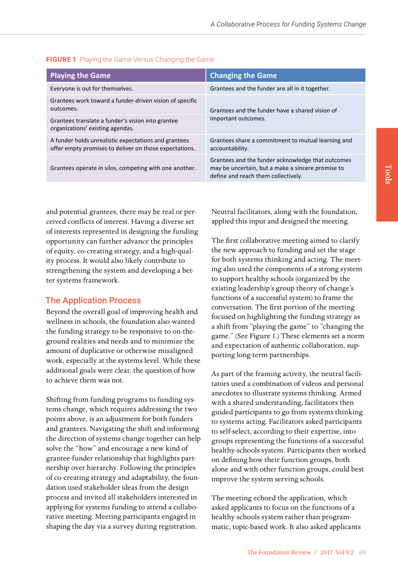| <b>Playing the Game</b>                                                                                        | <b>Changing the Game</b>                                                                                                                      |  |
|----------------------------------------------------------------------------------------------------------------|-----------------------------------------------------------------------------------------------------------------------------------------------|--|
| Everyone is out for themselves.                                                                                | Grantees and the funder are all in it together.                                                                                               |  |
| Grantees work toward a funder-driven vision of specific<br>outcomes.                                           | Grantees and the funder have a shared vision of<br>important outcomes.                                                                        |  |
| Grantees translate a funder's vision into grantee<br>organizations' existing agendas.                          |                                                                                                                                               |  |
| A funder holds unrealistic expectations and grantees<br>offer empty promises to deliver on those expectations. | Grantees share a commitment to mutual learning and<br>accountability.                                                                         |  |
| Grantees operate in silos, competing with one another.                                                         | Grantees and the funder acknowledge that outcomes<br>may be uncertain, but a make a sincere promise to<br>define and reach them collectively. |  |

# **FIGURE 1** Playing the Game Versus Changing the Game

and potential grantees, there may be real or perceived conflicts of interest. Having a diverse set of interests represented in designing the funding opportunity can further advance the principles of equity, co-creating strategy, and a high-quality process. It would also likely contribute to strengthening the system and developing a better systems framework.

# The Application Process

Beyond the overall goal of improving health and wellness in schools, the foundation also wanted the funding strategy to be responsive to on-theground realities and needs and to minimize the amount of duplicative or otherwise misaligned work, especially at the systems level. While these additional goals were clear, the question of how to achieve them was not.

Shifting from funding programs to funding systems change, which requires addressing the two points above, is an adjustment for both funders and grantees. Navigating the shift and informing the direction of systems change together can help solve the "how" and encourage a new kind of grantee-funder relationship that highlights partnership over hierarchy. Following the principles of co-creating strategy and adaptability, the foundation used stakeholder ideas from the design process and invited all stakeholders interested in applying for systems funding to attend a collaborative meeting. Meeting participants engaged in shaping the day via a survey during registration.

Neutral facilitators, along with the foundation, applied this input and designed the meeting.

The first collaborative meeting aimed to clarify the new approach to funding and set the stage for both systems thinking and acting. The meeting also used the components of a strong system to support healthy schools (organized by the existing leadership's group theory of change's functions of a successful system) to frame the conversation. The first portion of the meeting focused on highlighting the funding strategy as a shift from "playing the game" to "changing the game." (See Figure 1.) These elements set a norm and expectation of authentic collaboration, supporting long-term partnerships.

As part of the framing activity, the neutral facilitators used a combination of videos and personal anecdotes to illustrate systems thinking. Armed with a shared understanding, facilitators then guided participants to go from systems thinking to systems acting. Facilitators asked participants to self-select, according to their expertise, into groups representing the functions of a successful healthy-schools system. Participants then worked on defining how their function groups, both alone and with other function groups, could best improve the system serving schools.

The meeting echoed the application, which asked applicants to focus on the functions of a healthy-schools system rather than programmatic, topic-based work. It also asked applicants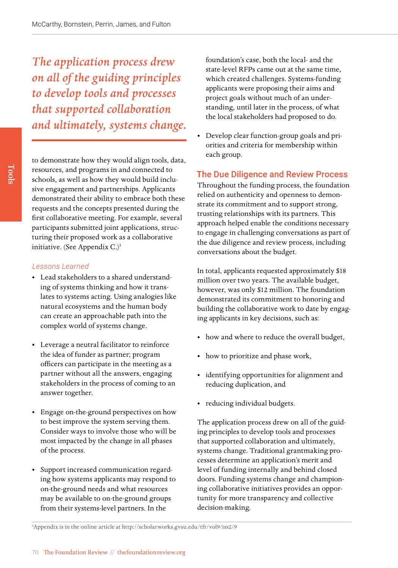*The application process drew on all of the guiding principles to develop tools and processes that supported collaboration and ultimately, systems change.*

to demonstrate how they would align tools, data, resources, and programs in and connected to schools, as well as how they would build inclusive engagement and partnerships. Applicants demonstrated their ability to embrace both these requests and the concepts presented during the first collaborative meeting. For example, several participants submitted joint applications, structuring their proposed work as a collaborative initiative. (See Appendix C.)<sup>3</sup>

# *Lessons Learned*

- Lead stakeholders to a shared understanding of systems thinking and how it translates to systems acting. Using analogies like natural ecosystems and the human body can create an approachable path into the complex world of systems change.
- Leverage a neutral facilitator to reinforce the idea of funder as partner; program officers can participate in the meeting as a partner without all the answers, engaging stakeholders in the process of coming to an answer together.
- Engage on-the-ground perspectives on how to best improve the system serving them. Consider ways to involve those who will be most impacted by the change in all phases of the process.
- Support increased communication regarding how systems applicants may respond to on-the-ground needs and what resources may be available to on-the-ground groups from their systems-level partners. In the

foundation's case, both the local- and the state-level RFPs came out at the same time, which created challenges. Systems-funding applicants were proposing their aims and project goals without much of an understanding, until later in the process, of what the local stakeholders had proposed to do.

• Develop clear function-group goals and priorities and criteria for membership within each group.

# The Due Diligence and Review Process

Throughout the funding process, the foundation relied on authenticity and openness to demonstrate its commitment and to support strong, trusting relationships with its partners. This approach helped enable the conditions necessary to engage in challenging conversations as part of the due diligence and review process, including conversations about the budget.

In total, applicants requested approximately \$18 million over two years. The available budget, however, was only \$12 million. The foundation demonstrated its commitment to honoring and building the collaborative work to date by engaging applicants in key decisions, such as:

- how and where to reduce the overall budget,
- how to prioritize and phase work,
- identifying opportunities for alignment and reducing duplication, and
- reducing individual budgets.

The application process drew on all of the guiding principles to develop tools and processes that supported collaboration and ultimately, systems change. Traditional grantmaking processes determine an application's merit and level of funding internally and behind closed doors. Funding systems change and championing collaborative initiatives provides an opportunity for more transparency and collective decision-making.

3 Appendix is in the online article at <http://scholarworks.gvsu.edu/tfr/vol9/iss2/9>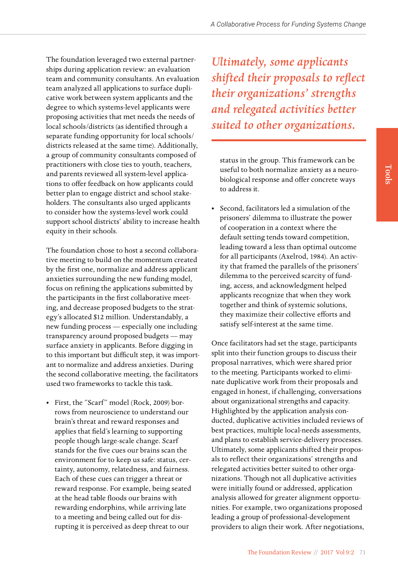The foundation leveraged two external partnerships during application review: an evaluation team and community consultants. An evaluation team analyzed all applications to surface duplicative work between system applicants and the degree to which systems-level applicants were proposing activities that met needs the needs of local schools/districts (as identified through a separate funding opportunity for local schools/ districts released at the same time). Additionally, a group of community consultants composed of practitioners with close ties to youth, teachers, and parents reviewed all system-level applications to offer feedback on how applicants could better plan to engage district and school stakeholders. The consultants also urged applicants to consider how the systems-level work could support school districts' ability to increase health equity in their schools.

The foundation chose to host a second collaborative meeting to build on the momentum created by the first one, normalize and address applicant anxieties surrounding the new funding model, focus on refining the applications submitted by the participants in the first collaborative meeting, and decrease proposed budgets to the strategy's allocated \$12 million. Understandably, a new funding process — especially one including transparency around proposed budgets — may surface anxiety in applicants. Before digging in to this important but difficult step, it was important to normalize and address anxieties. During the second collaborative meeting, the facilitators used two frameworks to tackle this task.

• First, the "Scarf" model (Rock, 2009) borrows from neuroscience to understand our brain's threat and reward responses and applies that field's learning to supporting people though large-scale change. Scarf stands for the five cues our brains scan the environment for to keep us safe: status, certainty, autonomy, relatedness, and fairness. Each of these cues can trigger a threat or reward response. For example, being seated at the head table floods our brains with rewarding endorphins, while arriving late to a meeting and being called out for disrupting it is perceived as deep threat to our

*Ultimately, some applicants shifted their proposals to reflect their organizations' strengths and relegated activities better suited to other organizations.* 

status in the group. This framework can be useful to both normalize anxiety as a neurobiological response and offer concrete ways to address it.

• Second, facilitators led a simulation of the prisoners' dilemma to illustrate the power of cooperation in a context where the default setting tends toward competition, leading toward a less than optimal outcome for all participants (Axelrod, 1984). An activity that framed the parallels of the prisoners' dilemma to the perceived scarcity of funding, access, and acknowledgment helped applicants recognize that when they work together and think of systemic solutions, they maximize their collective efforts and satisfy self-interest at the same time.

Once facilitators had set the stage, participants split into their function groups to discuss their proposal narratives, which were shared prior to the meeting. Participants worked to eliminate duplicative work from their proposals and engaged in honest, if challenging, conversations about organizational strengths and capacity. Highlighted by the application analysis conducted, duplicative activities included reviews of best practices, multiple local-needs assessments, and plans to establish service-delivery processes. Ultimately, some applicants shifted their proposals to reflect their organizations' strengths and relegated activities better suited to other organizations. Though not all duplicative activities were initially found or addressed, application analysis allowed for greater alignment opportunities. For example, two organizations proposed leading a group of professional-development providers to align their work. After negotiations,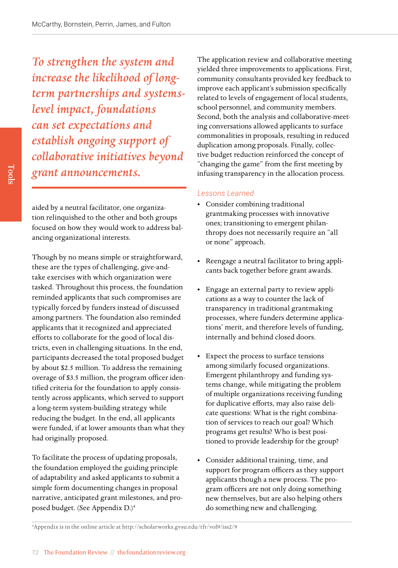*To strengthen the system and increase the likelihood of longterm partnerships and systemslevel impact, foundations can set expectations and establish ongoing support of collaborative initiatives beyond grant announcements.*

aided by a neutral facilitator, one organization relinquished to the other and both groups focused on how they would work to address balancing organizational interests.

Though by no means simple or straightforward, these are the types of challenging, give-andtake exercises with which organization were tasked. Throughout this process, the foundation reminded applicants that such compromises are typically forced by funders instead of discussed among partners. The foundation also reminded applicants that it recognized and appreciated efforts to collaborate for the good of local districts, even in challenging situations. In the end, participants decreased the total proposed budget by about \$2.5 million. To address the remaining overage of \$3.5 million, the program officer identified criteria for the foundation to apply consistently across applicants, which served to support a long-term system-building strategy while reducing the budget. In the end, all applicants were funded, if at lower amounts than what they had originally proposed.

To facilitate the process of updating proposals, the foundation employed the guiding principle of adaptability and asked applicants to submit a simple form documenting changes in proposal narrative, anticipated grant milestones, and proposed budget. (See Appendix D.)4

The application review and collaborative meeting yielded three improvements to applications. First, community consultants provided key feedback to improve each applicant's submission specifically related to levels of engagement of local students, school personnel, and community members. Second, both the analysis and collaborative-meeting conversations allowed applicants to surface commonalities in proposals, resulting in reduced duplication among proposals. Finally, collective budget reduction reinforced the concept of "changing the game" from the first meeting by infusing transparency in the allocation process.

# *Lessons Learned*

- Consider combining traditional grantmaking processes with innovative ones; transitioning to emergent philanthropy does not necessarily require an "all or none" approach.
- Reengage a neutral facilitator to bring applicants back together before grant awards.
- Engage an external party to review applications as a way to counter the lack of transparency in traditional grantmaking processes, where funders determine applications' merit, and therefore levels of funding, internally and behind closed doors.
- Expect the process to surface tensions among similarly focused organizations. Emergent philanthropy and funding systems change, while mitigating the problem of multiple organizations receiving funding for duplicative efforts, may also raise delicate questions: What is the right combination of services to reach our goal? Which programs get results? Who is best positioned to provide leadership for the group?
- Consider additional training, time, and support for program officers as they support applicants though a new process. The program officers are not only doing something new themselves, but are also helping others do something new and challenging.

<sup>4</sup> Appendix is in the online article at <http://scholarworks.gvsu.edu/tfr/vol9/iss2/9>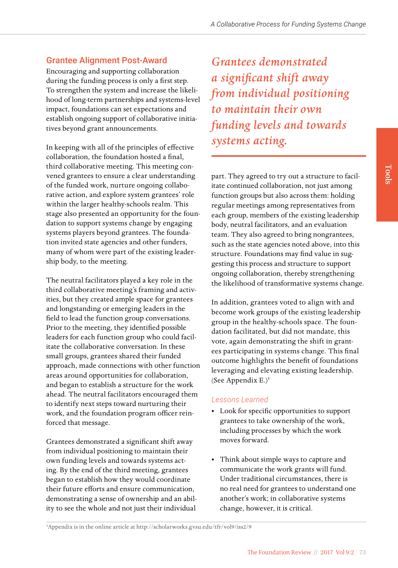# Grantee Alignment Post-Award

Encouraging and supporting collaboration during the funding process is only a first step. To strengthen the system and increase the likelihood of long-term partnerships and systems-level impact, foundations can set expectations and establish ongoing support of collaborative initiatives beyond grant announcements.

In keeping with all of the principles of effective collaboration, the foundation hosted a final, third collaborative meeting. This meeting convened grantees to ensure a clear understanding of the funded work, nurture ongoing collaborative action, and explore system grantees' role within the larger healthy-schools realm. This stage also presented an opportunity for the foundation to support systems change by engaging systems players beyond grantees. The foundation invited state agencies and other funders, many of whom were part of the existing leadership body, to the meeting.

The neutral facilitators played a key role in the third collaborative meeting's framing and activities, but they created ample space for grantees and longstanding or emerging leaders in the field to lead the function group conversations. Prior to the meeting, they identified possible leaders for each function group who could facilitate the collaborative conversation. In these small groups, grantees shared their funded approach, made connections with other function areas around opportunities for collaboration, and began to establish a structure for the work ahead. The neutral facilitators encouraged them to identify next steps toward nurturing their work, and the foundation program officer reinforced that message.

Grantees demonstrated a significant shift away from individual positioning to maintain their own funding levels and towards systems acting. By the end of the third meeting, grantees began to establish how they would coordinate their future efforts and ensure communication, demonstrating a sense of ownership and an ability to see the whole and not just their individual

*Grantees demonstrated a significant shift away from individual positioning to maintain their own funding levels and towards systems acting.* 

part. They agreed to try out a structure to facilitate continued collaboration, not just among function groups but also across them: holding regular meetings among representatives from each group, members of the existing leadership body, neutral facilitators, and an evaluation team. They also agreed to bring nongrantees, such as the state agencies noted above, into this structure. Foundations may find value in suggesting this process and structure to support ongoing collaboration, thereby strengthening the likelihood of transformative systems change.

In addition, grantees voted to align with and become work groups of the existing leadership group in the healthy-schools space. The foundation facilitated, but did not mandate, this vote, again demonstrating the shift in grantees participating in systems change. This final outcome highlights the benefit of foundations leveraging and elevating existing leadership. (See Appendix E.) $5$ 

# *Lessons Learned*

- Look for specific opportunities to support grantees to take ownership of the work, including processes by which the work moves forward.
- Think about simple ways to capture and communicate the work grants will fund. Under traditional circumstances, there is no real need for grantees to understand one another's work; in collaborative systems change, however, it is critical.

5 Appendix is in the online article at <http://scholarworks.gvsu.edu/tfr/vol9/iss2/9>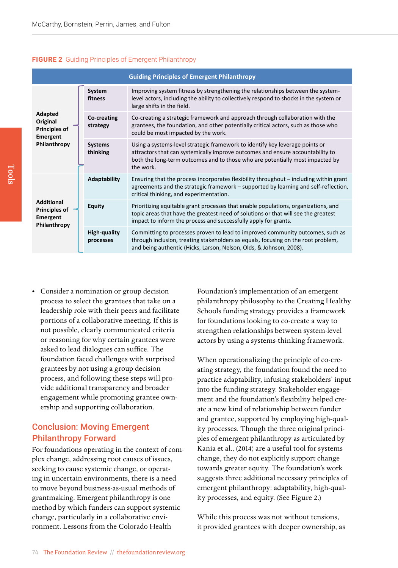#### **FIGURE 2** Guiding Principles of Emergent Philanthropy

| <b>Guiding Principles of Emergent Philanthropy</b>                      |                            |                                                                                                                                                                                                                                                              |  |  |
|-------------------------------------------------------------------------|----------------------------|--------------------------------------------------------------------------------------------------------------------------------------------------------------------------------------------------------------------------------------------------------------|--|--|
| Adapted<br>Original<br><b>Principles of</b><br>Emergent<br>Philanthropy | System<br>fitness          | Improving system fitness by strengthening the relationships between the system-<br>level actors, including the ability to collectively respond to shocks in the system or<br>large shifts in the field.                                                      |  |  |
|                                                                         | Co-creating<br>strategy    | Co-creating a strategic framework and approach through collaboration with the<br>grantees, the foundation, and other potentially critical actors, such as those who<br>could be most impacted by the work.                                                   |  |  |
|                                                                         | <b>Systems</b><br>thinking | Using a systems-level strategic framework to identify key leverage points or<br>attractors that can systemically improve outcomes and ensure accountability to<br>both the long-term outcomes and to those who are potentially most impacted by<br>the work. |  |  |
|                                                                         | <b>Adaptability</b>        | Ensuring that the process incorporates flexibility throughout – including within grant<br>agreements and the strategic framework – supported by learning and self-reflection,<br>critical thinking, and experimentation.                                     |  |  |
| <b>Additional</b><br><b>Principles of</b><br>Emergent<br>Philanthropy   | <b>Equity</b>              | Prioritizing equitable grant processes that enable populations, organizations, and<br>topic areas that have the greatest need of solutions or that will see the greatest<br>impact to inform the process and successfully apply for grants.                  |  |  |
|                                                                         | High-quality<br>processes  | Committing to processes proven to lead to improved community outcomes, such as<br>through inclusion, treating stakeholders as equals, focusing on the root problem,<br>and being authentic (Hicks, Larson, Nelson, Olds, & Johnson, 2008).                   |  |  |

• Consider a nomination or group decision process to select the grantees that take on a leadership role with their peers and facilitate portions of a collaborative meeting. If this is not possible, clearly communicated criteria or reasoning for why certain grantees were asked to lead dialogues can suffice. The foundation faced challenges with surprised grantees by not using a group decision process, and following these steps will provide additional transparency and broader engagement while promoting grantee ownership and supporting collaboration.

# Conclusion: Moving Emergent Philanthropy Forward

For foundations operating in the context of complex change, addressing root causes of issues, seeking to cause systemic change, or operating in uncertain environments, there is a need to move beyond business-as-usual methods of grantmaking. Emergent philanthropy is one method by which funders can support systemic change, particularly in a collaborative environment. Lessons from the Colorado Health

Foundation's implementation of an emergent philanthropy philosophy to the Creating Healthy Schools funding strategy provides a framework for foundations looking to co-create a way to strengthen relationships between system-level actors by using a systems-thinking framework.

When operationalizing the principle of co-creating strategy, the foundation found the need to practice adaptability, infusing stakeholders' input into the funding strategy. Stakeholder engagement and the foundation's flexibility helped create a new kind of relationship between funder and grantee, supported by employing high-quality processes. Though the three original principles of emergent philanthropy as articulated by Kania et al., (2014) are a useful tool for systems change, they do not explicitly support change towards greater equity. The foundation's work suggests three additional necessary principles of emergent philanthropy: adaptability, high-quality processes, and equity. (See Figure 2.)

While this process was not without tensions, it provided grantees with deeper ownership, as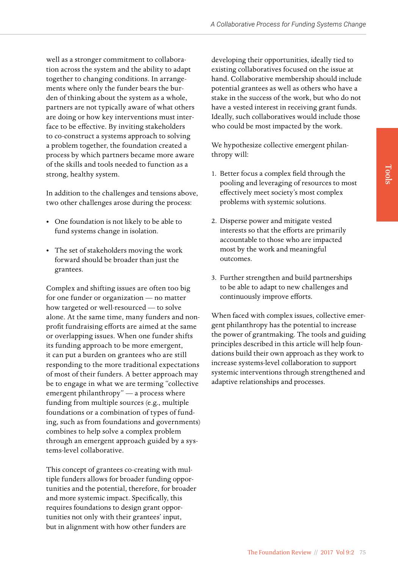well as a stronger commitment to collaboration across the system and the ability to adapt together to changing conditions. In arrangements where only the funder bears the burden of thinking about the system as a whole, partners are not typically aware of what others are doing or how key interventions must interface to be effective. By inviting stakeholders to co-construct a systems approach to solving a problem together, the foundation created a process by which partners became more aware of the skills and tools needed to function as a strong, healthy system.

In addition to the challenges and tensions above, two other challenges arose during the process:

- One foundation is not likely to be able to fund systems change in isolation.
- The set of stakeholders moving the work forward should be broader than just the grantees.

Complex and shifting issues are often too big for one funder or organization — no matter how targeted or well-resourced — to solve alone. At the same time, many funders and nonprofit fundraising efforts are aimed at the same or overlapping issues. When one funder shifts its funding approach to be more emergent, it can put a burden on grantees who are still responding to the more traditional expectations of most of their funders. A better approach may be to engage in what we are terming "collective emergent philanthropy" — a process where funding from multiple sources (e.g., multiple foundations or a combination of types of funding, such as from foundations and governments) combines to help solve a complex problem through an emergent approach guided by a systems-level collaborative.

This concept of grantees co-creating with multiple funders allows for broader funding opportunities and the potential, therefore, for broader and more systemic impact. Specifically, this requires foundations to design grant opportunities not only with their grantees' input, but in alignment with how other funders are

developing their opportunities, ideally tied to existing collaboratives focused on the issue at hand. Collaborative membership should include potential grantees as well as others who have a stake in the success of the work, but who do not have a vested interest in receiving grant funds. Ideally, such collaboratives would include those who could be most impacted by the work.

We hypothesize collective emergent philanthropy will:

- 1. Better focus a complex field through the pooling and leveraging of resources to most effectively meet society's most complex problems with systemic solutions.
- 2. Disperse power and mitigate vested interests so that the efforts are primarily accountable to those who are impacted most by the work and meaningful outcomes.
- 3. Further strengthen and build partnerships to be able to adapt to new challenges and continuously improve efforts.

When faced with complex issues, collective emergent philanthropy has the potential to increase the power of grantmaking. The tools and guiding principles described in this article will help foundations build their own approach as they work to increase systems-level collaboration to support systemic interventions through strengthened and adaptive relationships and processes.

Tools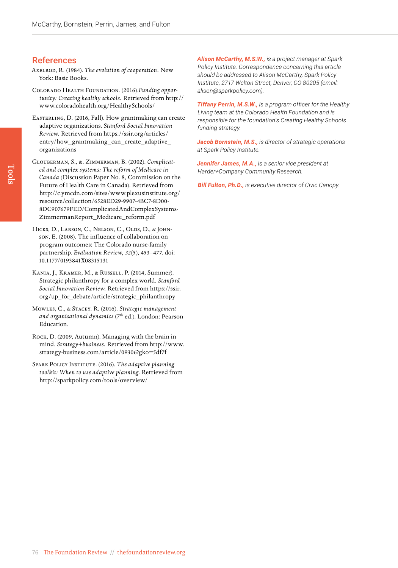# References

- Axelrod, R. (1984). *The evolution of cooperation.* New York: Basic Books.
- Colorado Health Foundation. (2016).*Funding opportunity: Creating healthy schools.* Retrieved from [http://](http://www.coloradohealth.org/HealthySchools/) [www.coloradohealth.org/HealthySchools/](http://www.coloradohealth.org/HealthySchools/)
- Easterling, D. (2016, Fall). How grantmaking can create adaptive organizations. S*tanford Social Innovation Review.* Retrieved from [https://ssir.org/articles/](https://ssir.org/articles/entry/how_grantmaking_can_create_adaptive_organizations) [entry/how\\_grantmaking\\_can\\_create\\_adaptive\\_](https://ssir.org/articles/entry/how_grantmaking_can_create_adaptive_organizations) [organizations](https://ssir.org/articles/entry/how_grantmaking_can_create_adaptive_organizations)
- Glouberman, S., &. Zimmerman, B. (2002). *Complicated and complex systems: The reform of Medicare in Canada* (Discussion Paper No. 8, Commission on the Future of Health Care in Canada). Retrieved from [http://c.ymcdn.com/sites/www.plexusinstitute.org/](http://c.ymcdn.com/sites/www.plexusinstitute.org/resource/collection/6528ED29-9907-4BC7-8D00-8DC907679FED/ComplicatedAndComplexSystems-ZimmermanReport_Medicare_reform.pdf) [resource/collection/6528ED29-9907-4BC7-8D00-](http://c.ymcdn.com/sites/www.plexusinstitute.org/resource/collection/6528ED29-9907-4BC7-8D00-8DC907679FED/ComplicatedAndComplexSystems-ZimmermanReport_Medicare_reform.pdf) [8DC907679FED/ComplicatedAndComplexSystems-](http://c.ymcdn.com/sites/www.plexusinstitute.org/resource/collection/6528ED29-9907-4BC7-8D00-8DC907679FED/ComplicatedAndComplexSystems-ZimmermanReport_Medicare_reform.pdf)[ZimmermanReport\\_Medicare\\_reform.pdf](http://c.ymcdn.com/sites/www.plexusinstitute.org/resource/collection/6528ED29-9907-4BC7-8D00-8DC907679FED/ComplicatedAndComplexSystems-ZimmermanReport_Medicare_reform.pdf)
- HICKS, D., LARSON, C., NELSON, C., OLDS, D., & JOHNson, E. (2008). The influence of collaboration on program outcomes: The Colorado nurse-family partnership. *Evaluation Review, 32*(5), 453–477. doi: 10.1177/0193841X08315131
- Kania, J., Kramer, M., & Russell, P. (2014, Summer). Strategic philanthropy for a complex world. *Stanford Social Innovation Review.* Retrieved from [https://ssir.](https://ssir.org/up_for_debate/article/strategic_philanthropy) [org/up\\_for\\_debate/article/strategic\\_philanthrop](https://ssir.org/up_for_debate/article/strategic_philanthropy)y
- Mowles, C., & Stacey. R. (2016). *Strategic management*  and organisational dynamics (7<sup>th</sup> ed.). London: Pearson Education.
- Rock, D. (2009, Autumn). Managing with the brain in mind. *Strategy+business.* Retrieved from [http://www.](http://www.strategy-business.com/article/09306?gko=5df7f) [strategy-business.com/article/09306?gko=5df7f](http://www.strategy-business.com/article/09306?gko=5df7f)
- Spark Policy Institute. (2016). *The adaptive planning toolkit: When to use adaptive planning.* Retrieved from <http://sparkpolicy.com/tools/overview/>

*Alison McCarthy, M.S.W., is a project manager at Spark Policy Institute. Correspondence concerning this article should be addressed to Alison McCarthy, Spark Policy Institute, 2717 Welton Street, Denver, CO 80205 (email: [alison@sparkpolicy.com](mailto:alison@sparkpolicy.com)).* 

*Tiffany Perrin, M.S.W., is a program officer for the Healthy Living team at the Colorado Health Foundation and is responsible for the foundation's Creating Healthy Schools funding strategy.* 

*Jacob Bornstein, M.S., is director of strategic operations at Spark Policy Institute.*

*Jennifer James, M.A., is a senior vice president at Harder+Company Community Research.* 

*Bill Fulton, Ph.D., is executive director of Civic Canopy.*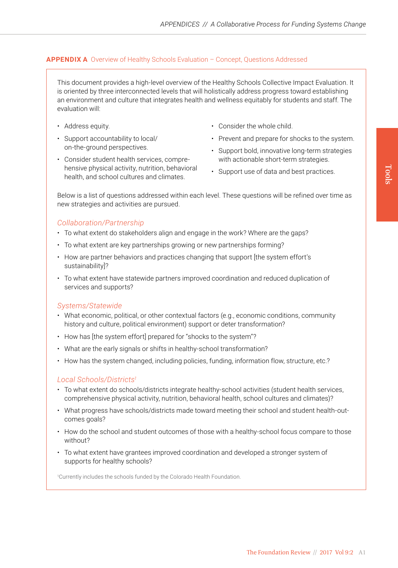# **APPENDIX A** Overview of Healthy Schools Evaluation – Concept, Questions Addressed

This document provides a high-level overview of the Healthy Schools Collective Impact Evaluation. It is oriented by three interconnected levels that will holistically address progress toward establishing an environment and culture that integrates health and wellness equitably for students and staff. The evaluation will:

- Address equity.
- Support accountability to local/ on-the-ground perspectives.
- Consider student health services, comprehensive physical activity, nutrition, behavioral health, and school cultures and climates.
- Consider the whole child.
- Prevent and prepare for shocks to the system.
- Support bold, innovative long-term strategies with actionable short-term strategies.
- Support use of data and best practices.

Below is a list of questions addressed within each level. These questions will be refined over time as new strategies and activities are pursued.

# *Collaboration/Partnership*

- To what extent do stakeholders align and engage in the work? Where are the gaps?
- To what extent are key partnerships growing or new partnerships forming?
- How are partner behaviors and practices changing that support [the system effort's sustainability]?
- To what extent have statewide partners improved coordination and reduced duplication of services and supports?

# *Systems/Statewide*

- What economic, political, or other contextual factors (e.g., economic conditions, community history and culture, political environment) support or deter transformation?
- How has [the system effort] prepared for "shocks to the system"?
- What are the early signals or shifts in healthy-school transformation?
- How has the system changed, including policies, funding, information flow, structure, etc.?

## *Local Schools/Districts1*

- To what extent do schools/districts integrate healthy-school activities (student health services, comprehensive physical activity, nutrition, behavioral health, school cultures and climates)?
- What progress have schools/districts made toward meeting their school and student health-outcomes goals?
- How do the school and student outcomes of those with a healthy-school focus compare to those without?
- To what extent have grantees improved coordination and developed a stronger system of supports for healthy schools?

1 Currently includes the schools funded by the Colorado Health Foundation.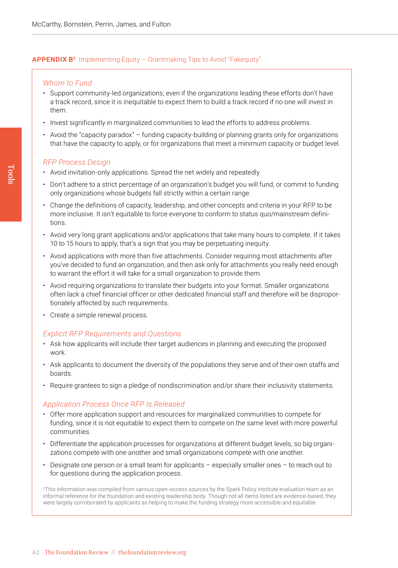# **APPENDIX B<sup>2</sup>** Implementing Equity – Grantmaking Tips to Avoid "Fakequity"

# *Whom to Fund*

- Support community-led organizations, even if the organizations leading these efforts don't have a track record, since it is inequitable to expect them to build a track record if no one will invest in them.
- Invest significantly in marginalized communities to lead the efforts to address problems.
- Avoid the "capacity paradox" funding capacity-building or planning grants only for organizations that have the capacity to apply, or for organizations that meet a minimum capacity or budget level.

# *RFP Process Design*

- Avoid invitation-only applications. Spread the net widely and repeatedly.
- Don't adhere to a strict percentage of an organization's budget you will fund, or commit to funding only organizations whose budgets fall strictly within a certain range.
- Change the definitions of capacity, leadership, and other concepts and criteria in your RFP to be more inclusive. It isn't equitable to force everyone to conform to status quo/mainstream definitions.
- Avoid very long grant applications and/or applications that take many hours to complete. If it takes 10 to 15 hours to apply, that's a sign that you may be perpetuating inequity.
- Avoid applications with more than five attachments. Consider requiring most attachments after you've decided to fund an organization, and then ask only for attachments you really need enough to warrant the effort it will take for a small organization to provide them.
- Avoid requiring organizations to translate their budgets into your format. Smaller organizations often lack a chief financial officer or other dedicated financial staff and therefore will be disproportionately affected by such requirements.
- Create a simple renewal process.

## *Explicit RFP Requirements and Questions*

- Ask how applicants will include their target audiences in planning and executing the proposed work.
- Ask applicants to document the diversity of the populations they serve and of their own staffs and boards.
- Require grantees to sign a pledge of nondiscrimination and/or share their inclusivity statements.

# *Application Process Once RFP Is Released*

- Offer more application support and resources for marginalized communities to compete for funding, since it is not equitable to expect them to compete on the same level with more powerful communities.
- Differentiate the application processes for organizations at different budget levels, so big organizations compete with one another and small organizations compete with one another.
- Designate one person or a small team for applicants especially smaller ones to reach out to for questions during the application process.

2This information was compiled from various open-access sources by the Spark Policy Institute evaluation team as an informal reference for the foundation and existing leadership body. Though not all items listed are evidence-based, they were largely corroborated by applicants as helping to make the funding strategy more accessible and equitable.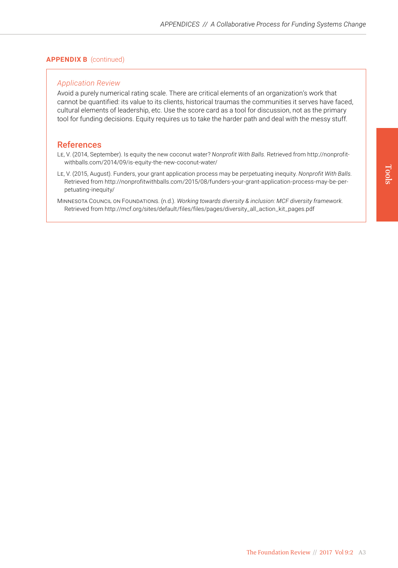# **APPENDIX B** (continued)

# *Application Review*

Avoid a purely numerical rating scale. There are critical elements of an organization's work that cannot be quantified: its value to its clients, historical traumas the communities it serves have faced, cultural elements of leadership, etc. Use the score card as a tool for discussion, not as the primary tool for funding decisions. Equity requires us to take the harder path and deal with the messy stuff.

# **References**

- Le, V. (2014, September). Is equity the new coconut water? *Nonprofit With Balls.* Retrieved from [http://nonprofit](http://nonprofitwithballs.com/2014/09/is-equity-the-new-coconut-water/)[withballs.com/2014/09/is-equity-the-new-coconut-water/](http://nonprofitwithballs.com/2014/09/is-equity-the-new-coconut-water/)
- Le, V. (2015, August). Funders, your grant application process may be perpetuating inequity. *Nonprofit With Balls.*  Retrieved from [http://nonprofitwithballs.com/2015/08/funders-your-grant-application-process-may-be-per](http://nonprofitwithballs.com/2015/08/funders-your-grant-application-process-may-be-perpetuating-inequity/)[petuating-inequity/](http://nonprofitwithballs.com/2015/08/funders-your-grant-application-process-may-be-perpetuating-inequity/)
- Minnesota Council on Foundations. (n.d.). *Working towards diversity & inclusion: MCF diversity framework.*  Retrieved from [http://mcf.org/sites/default/files/files/pages/diversity\\_all\\_action\\_kit\\_pages.pdf](http://mcf.org/sites/default/files/files/pages/diversity_all_action_kit_pages.pdf)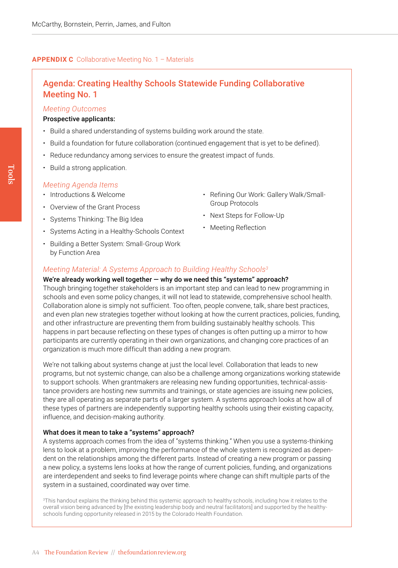#### **APPENDIX C** Collaborative Meeting No. 1 – Materials

# Agenda: Creating Healthy Schools Statewide Funding Collaborative Meeting No. 1

#### *Meeting Outcomes*

#### Prospective applicants:

- Build a shared understanding of systems building work around the state.
- Build a foundation for future collaboration (continued engagement that is yet to be defined).
- Reduce redundancy among services to ensure the greatest impact of funds.
- Build a strong application.

## *Meeting Agenda Items*

- Introductions & Welcome
- Overview of the Grant Process
- Systems Thinking: The Big Idea
- Systems Acting in a Healthy-Schools Context
- Building a Better System: Small-Group Work by Function Area
- Refining Our Work: Gallery Walk/Small-Group Protocols
- Next Steps for Follow-Up
- Meeting Reflection

## *Meeting Material: A Systems Approach to Building Healthy Schools3*

We're already working well together — why do we need this "systems" approach? Though bringing together stakeholders is an important step and can lead to new programming in schools and even some policy changes, it will not lead to statewide, comprehensive school health. Collaboration alone is simply not sufficient. Too often, people convene, talk, share best practices, and even plan new strategies together without looking at how the current practices, policies, funding, and other infrastructure are preventing them from building sustainably healthy schools. This happens in part because reflecting on these types of changes is often putting up a mirror to how participants are currently operating in their own organizations, and changing core practices of an organization is much more difficult than adding a new program.

We're not talking about systems change at just the local level. Collaboration that leads to new programs, but not systemic change, can also be a challenge among organizations working statewide to support schools. When grantmakers are releasing new funding opportunities, technical-assistance providers are hosting new summits and trainings, or state agencies are issuing new policies, they are all operating as separate parts of a larger system. A systems approach looks at how all of these types of partners are independently supporting healthy schools using their existing capacity, influence, and decision-making authority.

# What does it mean to take a "systems" approach?

A systems approach comes from the idea of "systems thinking." When you use a systems-thinking lens to look at a problem, improving the performance of the whole system is recognized as dependent on the relationships among the different parts. Instead of creating a new program or passing a new policy, a systems lens looks at how the range of current policies, funding, and organizations are interdependent and seeks to find leverage points where change can shift multiple parts of the system in a sustained, coordinated way over time.

<sup>3</sup>This handout explains the thinking behind this systemic approach to healthy schools, including how it relates to the overall vision being advanced by [the existing leadership body and neutral facilitators] and supported by the healthyschools funding opportunity released in 2015 by the Colorado Health Foundation.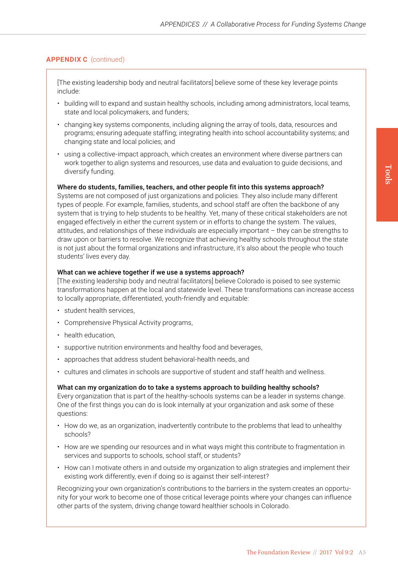# **APPENDIX C** (continued)

[The existing leadership body and neutral facilitators] believe some of these key leverage points include:

- building will to expand and sustain healthy schools, including among administrators, local teams, state and local policymakers, and funders;
- changing key systems components, including aligning the array of tools, data, resources and programs; ensuring adequate staffing; integrating health into school accountability systems; and changing state and local policies; and
- using a collective-impact approach, which creates an environment where diverse partners can work together to align systems and resources, use data and evaluation to guide decisions, and diversify funding.

#### Where do students, families, teachers, and other people fit into this systems approach?

Systems are not composed of just organizations and policies. They also include many different types of people. For example, families, students, and school staff are often the backbone of any system that is trying to help students to be healthy. Yet, many of these critical stakeholders are not engaged effectively in either the current system or in efforts to change the system. The values, attitudes, and relationships of these individuals are especially important – they can be strengths to draw upon or barriers to resolve. We recognize that achieving healthy schools throughout the state is not just about the formal organizations and infrastructure, it's also about the people who touch students' lives every day.

#### What can we achieve together if we use a systems approach?

[The existing leadership body and neutral facilitators] believe Colorado is poised to see systemic transformations happen at the local and statewide level. These transformations can increase access to locally appropriate, differentiated, youth-friendly and equitable:

- student health services,
- Comprehensive Physical Activity programs,
- health education.
- supportive nutrition environments and healthy food and beverages,
- approaches that address student behavioral-health needs, and
- cultures and climates in schools are supportive of student and staff health and wellness.

#### What can my organization do to take a systems approach to building healthy schools?

Every organization that is part of the healthy-schools systems can be a leader in systems change. One of the first things you can do is look internally at your organization and ask some of these questions:

- How do we, as an organization, inadvertently contribute to the problems that lead to unhealthy schools?
- How are we spending our resources and in what ways might this contribute to fragmentation in services and supports to schools, school staff, or students?
- How can I motivate others in and outside my organization to align strategies and implement their existing work differently, even if doing so is against their self-interest?

Recognizing your own organization's contributions to the barriers in the system creates an opportunity for your work to become one of those critical leverage points where your changes can influence other parts of the system, driving change toward healthier schools in Colorado.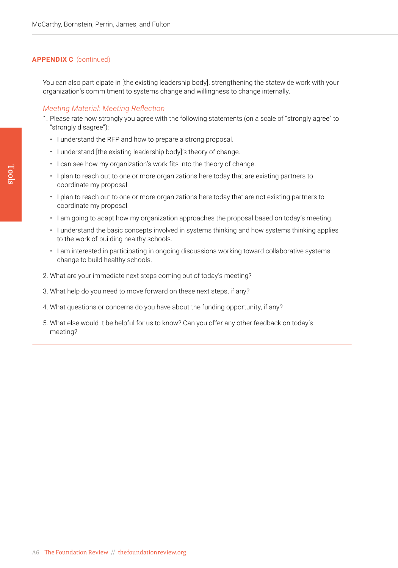# **APPENDIX C** (continued)

You can also participate in [the existing leadership body], strengthening the statewide work with your organization's commitment to systems change and willingness to change internally.

## *Meeting Material: Meeting Reflection*

- 1. Please rate how strongly you agree with the following statements (on a scale of "strongly agree" to "strongly disagree"):
	- I understand the RFP and how to prepare a strong proposal.
	- I understand [the existing leadership body]'s theory of change.
	- I can see how my organization's work fits into the theory of change.
	- I plan to reach out to one or more organizations here today that are existing partners to coordinate my proposal.
	- I plan to reach out to one or more organizations here today that are not existing partners to coordinate my proposal.
	- I am going to adapt how my organization approaches the proposal based on today's meeting.
	- I understand the basic concepts involved in systems thinking and how systems thinking applies to the work of building healthy schools.
	- I am interested in participating in ongoing discussions working toward collaborative systems change to build healthy schools.
- 2. What are your immediate next steps coming out of today's meeting?
- 3. What help do you need to move forward on these next steps, if any?
- 4. What questions or concerns do you have about the funding opportunity, if any?
- 5. What else would it be helpful for us to know? Can you offer any other feedback on today's meeting?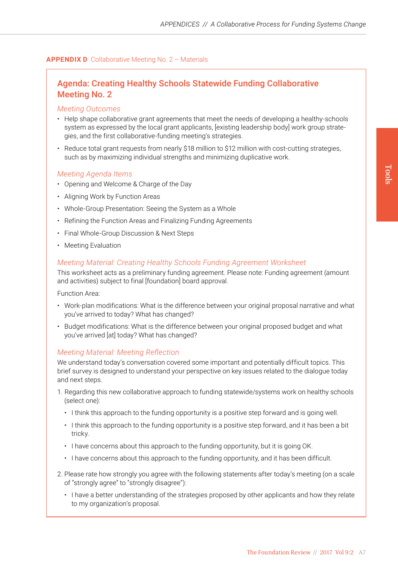# **APPENDIX D** Collaborative Meeting No. 2 – Materials

# Agenda: Creating Healthy Schools Statewide Funding Collaborative Meeting No. 2

#### *Meeting Outcomes*

- Help shape collaborative grant agreements that meet the needs of developing a healthy-schools system as expressed by the local grant applicants, [existing leadership body] work group strategies, and the first collaborative-funding meeting's strategies.
- Reduce total grant requests from nearly \$18 million to \$12 million with cost-cutting strategies, such as by maximizing individual strengths and minimizing duplicative work.

#### *Meeting Agenda Items*

- Opening and Welcome & Charge of the Day
- Aligning Work by Function Areas
- Whole-Group Presentation: Seeing the System as a Whole
- Refining the Function Areas and Finalizing Funding Agreements
- Final Whole-Group Discussion & Next Steps
- Meeting Evaluation

# *Meeting Material: Creating Healthy Schools Funding Agreement Worksheet*

This worksheet acts as a preliminary funding agreement. Please note: Funding agreement (amount and activities) subject to final [foundation] board approval.

Function Area:

- Work-plan modifications: What is the difference between your original proposal narrative and what you've arrived to today? What has changed?
- Budget modifications: What is the difference between your original proposed budget and what you've arrived [at] today? What has changed?

## *Meeting Material: Meeting Reflection*

We understand today's conversation covered some important and potentially difficult topics. This brief survey is designed to understand your perspective on key issues related to the dialogue today and next steps.

- 1. Regarding this new collaborative approach to funding statewide/systems work on healthy schools (select one):
	- I think this approach to the funding opportunity is a positive step forward and is going well.
	- I think this approach to the funding opportunity is a positive step forward, and it has been a bit tricky.
	- I have concerns about this approach to the funding opportunity, but it is going OK.
	- I have concerns about this approach to the funding opportunity, and it has been difficult.
- 2. Please rate how strongly you agree with the following statements after today's meeting (on a scale of "strongly agree" to "strongly disagree"):
	- I have a better understanding of the strategies proposed by other applicants and how they relate to my organization's proposal.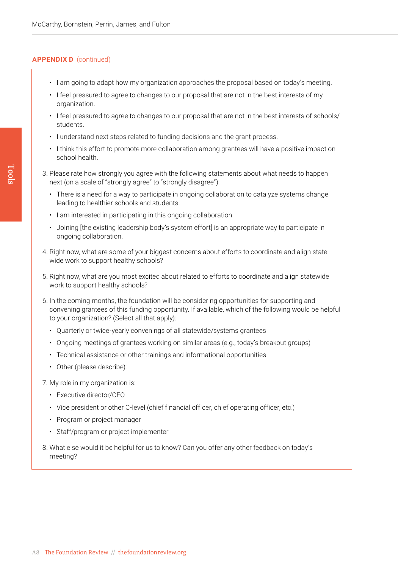# **APPENDIX D** (continued)

- I am going to adapt how my organization approaches the proposal based on today's meeting.
- I feel pressured to agree to changes to our proposal that are not in the best interests of my organization.
- I feel pressured to agree to changes to our proposal that are not in the best interests of schools/ students.
- I understand next steps related to funding decisions and the grant process.
- I think this effort to promote more collaboration among grantees will have a positive impact on school health.
- 3. Please rate how strongly you agree with the following statements about what needs to happen next (on a scale of "strongly agree" to "strongly disagree"):
	- There is a need for a way to participate in ongoing collaboration to catalyze systems change leading to healthier schools and students.
	- I am interested in participating in this ongoing collaboration.
	- Joining [the existing leadership body's system effort] is an appropriate way to participate in ongoing collaboration.
- 4. Right now, what are some of your biggest concerns about efforts to coordinate and align statewide work to support healthy schools?
- 5. Right now, what are you most excited about related to efforts to coordinate and align statewide work to support healthy schools?
- 6. In the coming months, the foundation will be considering opportunities for supporting and convening grantees of this funding opportunity. If available, which of the following would be helpful to your organization? (Select all that apply):
	- Quarterly or twice-yearly convenings of all statewide/systems grantees
	- Ongoing meetings of grantees working on similar areas (e.g., today's breakout groups)
	- Technical assistance or other trainings and informational opportunities
	- Other (please describe):
- 7. My role in my organization is:
	- Executive director/CEO
	- Vice president or other C-level (chief financial officer, chief operating officer, etc.)
	- Program or project manager
	- Staff/program or project implementer
- 8. What else would it be helpful for us to know? Can you offer any other feedback on today's meeting?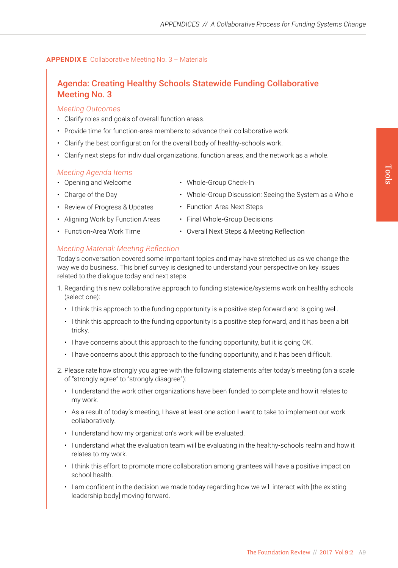• Whole-Group Discussion: Seeing the System as a Whole

# **APPENDIX E** Collaborative Meeting No. 3 – Materials

# Agenda: Creating Healthy Schools Statewide Funding Collaborative Meeting No. 3

# *Meeting Outcomes*

- Clarify roles and goals of overall function areas.
- Provide time for function-area members to advance their collaborative work.
- Clarify the best configuration for the overall body of healthy-schools work.
- Clarify next steps for individual organizations, function areas, and the network as a whole.

# *Meeting Agenda Items*

- Opening and Welcome
- Charge of the Day
- Review of Progress & Updates
- Function-Area Next Steps

• Whole-Group Check-In

- Aligning Work by Function Areas
- Final Whole-Group Decisions
- Function-Area Work Time
- Overall Next Steps & Meeting Reflection

# *Meeting Material: Meeting Reflection*

Today's conversation covered some important topics and may have stretched us as we change the way we do business. This brief survey is designed to understand your perspective on key issues related to the dialogue today and next steps.

- 1. Regarding this new collaborative approach to funding statewide/systems work on healthy schools (select one):
	- I think this approach to the funding opportunity is a positive step forward and is going well.
	- I think this approach to the funding opportunity is a positive step forward, and it has been a bit tricky.
	- I have concerns about this approach to the funding opportunity, but it is going OK.
	- I have concerns about this approach to the funding opportunity, and it has been difficult.
- 2. Please rate how strongly you agree with the following statements after today's meeting (on a scale of "strongly agree" to "strongly disagree"):
	- I understand the work other organizations have been funded to complete and how it relates to my work.
	- As a result of today's meeting, I have at least one action I want to take to implement our work collaboratively.
	- I understand how my organization's work will be evaluated.
	- I understand what the evaluation team will be evaluating in the healthy-schools realm and how it relates to my work.
	- I think this effort to promote more collaboration among grantees will have a positive impact on school health.
	- I am confident in the decision we made today regarding how we will interact with [the existing leadership body] moving forward.